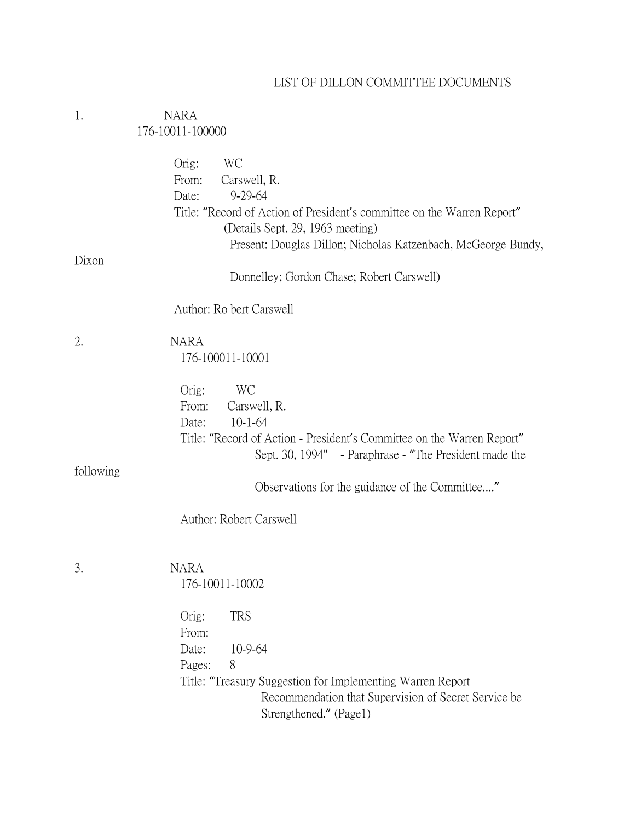# LIST OF DILLON COMMITTEE DOCUMENTS

| 1.        | <b>NARA</b>                                                                                                                                                                                                                                           |
|-----------|-------------------------------------------------------------------------------------------------------------------------------------------------------------------------------------------------------------------------------------------------------|
|           | 176-10011-100000                                                                                                                                                                                                                                      |
|           | WC<br>Orig:<br>Carswell, R.<br>From:<br>$9 - 29 - 64$<br>Date:<br>Title: "Record of Action of President's committee on the Warren Report"<br>(Details Sept. 29, 1963 meeting)<br>Present: Douglas Dillon; Nicholas Katzenbach, McGeorge Bundy,        |
| Dixon     | Donnelley; Gordon Chase; Robert Carswell)                                                                                                                                                                                                             |
|           |                                                                                                                                                                                                                                                       |
|           | Author: Ro bert Carswell                                                                                                                                                                                                                              |
| 2.        | <b>NARA</b><br>176-100011-10001                                                                                                                                                                                                                       |
| following | Orig:<br>WC<br>Carswell, R.<br>From:<br>$10 - 1 - 64$<br>Date:<br>Title: "Record of Action - President's Committee on the Warren Report"<br>Sept. 30, 1994" - Paraphrase - "The President made the<br>Observations for the guidance of the Committee" |
|           | Author: Robert Carswell                                                                                                                                                                                                                               |
| 3.        | <b>NARA</b><br>176-10011-10002                                                                                                                                                                                                                        |
|           | <b>TRS</b><br>Orig:<br>From:<br>10-9-64<br>Date:<br>Pages:<br>8<br>Title: "Treasury Suggestion for Implementing Warren Report<br>Recommendation that Supervision of Secret Service be<br>Strengthened." (Page1)                                       |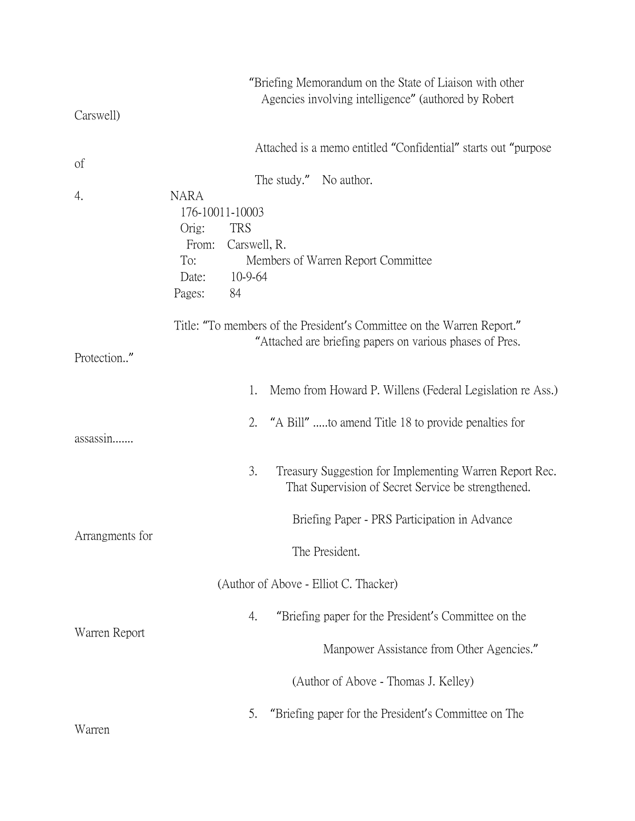|                 | "Briefing Memorandum on the State of Liaison with other<br>Agencies involving intelligence" (authored by Robert |
|-----------------|-----------------------------------------------------------------------------------------------------------------|
| Carswell)       |                                                                                                                 |
|                 | Attached is a memo entitled "Confidential" starts out "purpose                                                  |
| of              | The study." No author.                                                                                          |
| 4.              | <b>NARA</b><br>176-10011-10003                                                                                  |
|                 | <b>TRS</b><br>Orig:                                                                                             |
|                 | Carswell, R.<br>From:                                                                                           |
|                 | To:<br>Members of Warren Report Committee                                                                       |
|                 | Date:<br>10-9-64                                                                                                |
|                 | 84<br>Pages:                                                                                                    |
|                 | Title: "To members of the President's Committee on the Warren Report."                                          |
|                 | "Attached are briefing papers on various phases of Pres.                                                        |
| Protection."    |                                                                                                                 |
|                 | Memo from Howard P. Willens (Federal Legislation re Ass.)<br>1.                                                 |
|                 | 2.<br>"A Bill" to amend Title 18 to provide penalties for                                                       |
| assassin        |                                                                                                                 |
|                 | 3.<br>Treasury Suggestion for Implementing Warren Report Rec.                                                   |
|                 | That Supervision of Secret Service be strengthened.                                                             |
|                 | Briefing Paper - PRS Participation in Advance                                                                   |
| Arrangments for |                                                                                                                 |
|                 | The President.                                                                                                  |
|                 | (Author of Above - Elliot C. Thacker)                                                                           |
|                 | "Briefing paper for the President's Committee on the<br>4.                                                      |
| Warren Report   | Manpower Assistance from Other Agencies."                                                                       |
|                 | (Author of Above - Thomas J. Kelley)                                                                            |
| Warren          | "Briefing paper for the President's Committee on The<br>5.                                                      |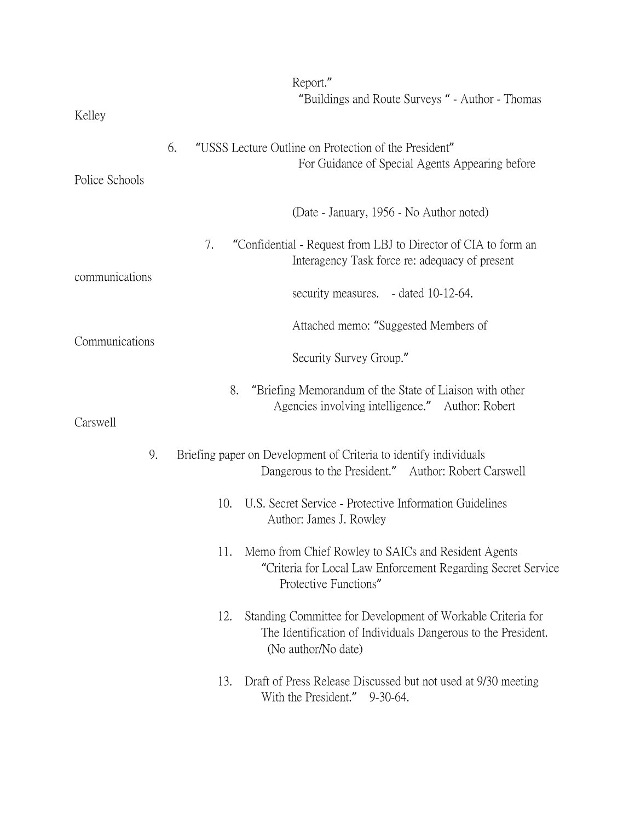| Kelley         | Report."<br>"Buildings and Route Surveys" - Author - Thomas                                                                                                |
|----------------|------------------------------------------------------------------------------------------------------------------------------------------------------------|
| Police Schools | 6.<br>"USSS Lecture Outline on Protection of the President"<br>For Guidance of Special Agents Appearing before                                             |
|                | (Date - January, 1956 - No Author noted)                                                                                                                   |
| communications | "Confidential - Request from LBJ to Director of CIA to form an<br>7.<br>Interagency Task force re: adequacy of present                                     |
|                | security measures. - dated 10-12-64.                                                                                                                       |
| Communications | Attached memo: "Suggested Members of                                                                                                                       |
|                | Security Survey Group."                                                                                                                                    |
| Carswell       | "Briefing Memorandum of the State of Liaison with other<br>8.<br>Agencies involving intelligence." Author: Robert                                          |
| 9.             | Briefing paper on Development of Criteria to identify individuals<br>Dangerous to the President." Author: Robert Carswell                                  |
|                | U.S. Secret Service - Protective Information Guidelines<br>10.<br>Author: James J. Rowley                                                                  |
|                | Memo from Chief Rowley to SAICs and Resident Agents<br>11.<br>"Criteria for Local Law Enforcement Regarding Secret Service<br>Protective Functions"        |
|                | Standing Committee for Development of Workable Criteria for<br>12.<br>The Identification of Individuals Dangerous to the President.<br>(No author/No date) |
|                | Draft of Press Release Discussed but not used at 9/30 meeting<br>13.<br>With the President." 9-30-64.                                                      |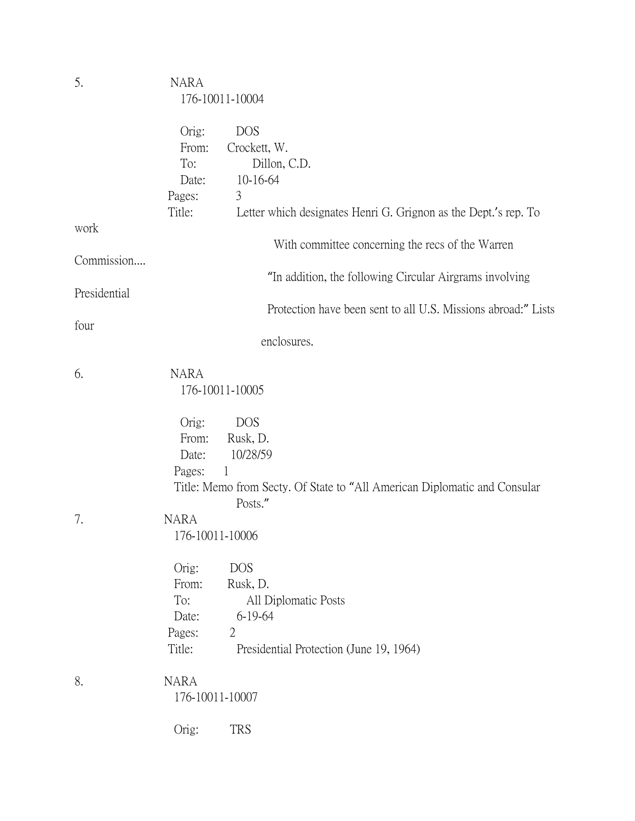| 5.           | <b>NARA</b>                                                           | 176-10011-10004                                                                                                                 |
|--------------|-----------------------------------------------------------------------|---------------------------------------------------------------------------------------------------------------------------------|
|              | Orig:<br>From:<br>To:<br>Date:<br>Pages:<br>Title:                    | <b>DOS</b><br>Crockett, W.<br>Dillon, C.D.<br>10-16-64<br>3<br>Letter which designates Henri G. Grignon as the Dept.'s rep. To  |
| work         |                                                                       | With committee concerning the recs of the Warren                                                                                |
| Commission   |                                                                       | "In addition, the following Circular Airgrams involving                                                                         |
| Presidential |                                                                       |                                                                                                                                 |
| four         |                                                                       | Protection have been sent to all U.S. Missions abroad:" Lists                                                                   |
|              |                                                                       | enclosures.                                                                                                                     |
| 6.           | <b>NARA</b>                                                           | 176-10011-10005                                                                                                                 |
| 7.           | Orig:<br>From:<br>Date:<br>Pages:<br><b>NARA</b>                      | <b>DOS</b><br>Rusk, D.<br>10/28/59<br>1<br>Title: Memo from Secty. Of State to "All American Diplomatic and Consular<br>Posts." |
|              | 176-10011-10006<br>Orig:<br>From:<br>To:<br>Date:<br>Pages:<br>Title: | <b>DOS</b><br>Rusk, D.<br>All Diplomatic Posts<br>6-19-64<br>$\overline{2}$<br>Presidential Protection (June 19, 1964)          |
| 8.           | <b>NARA</b><br>176-10011-10007                                        |                                                                                                                                 |
|              | Orig:                                                                 | <b>TRS</b>                                                                                                                      |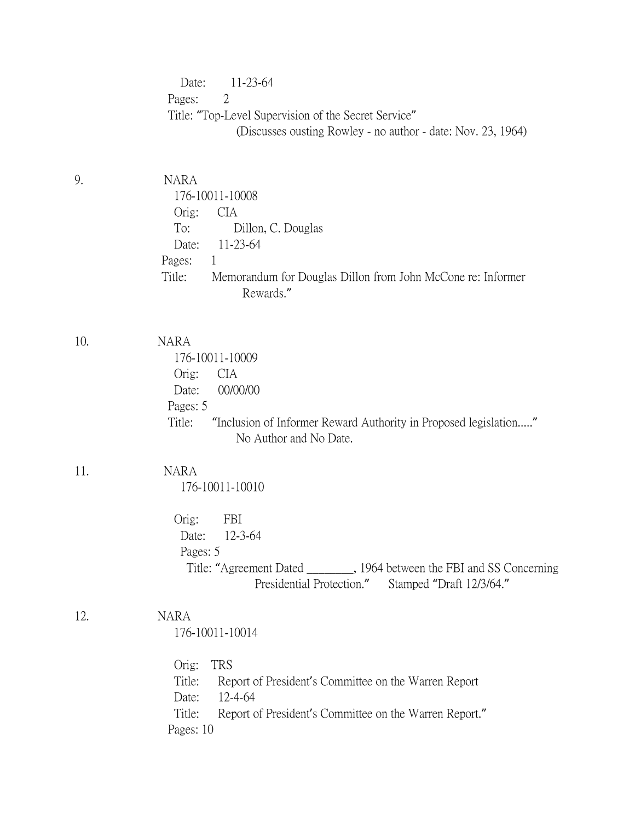|     | 11-23-64<br>Date:<br>Pages:<br>2<br>Title: "Top-Level Supervision of the Secret Service"<br>(Discusses ousting Rowley - no author - date: Nov. 23, 1964)                                                                     |
|-----|------------------------------------------------------------------------------------------------------------------------------------------------------------------------------------------------------------------------------|
| 9.  | <b>NARA</b><br>176-10011-10008<br>Orig:<br><b>CIA</b><br>To:<br>Dillon, C. Douglas<br>11-23-64<br>Date:<br>Pages:<br>$\mathbf{1}$<br>Memorandum for Douglas Dillon from John McCone re: Informer<br>Title:<br>Rewards."      |
| 10. | <b>NARA</b><br>176-10011-10009<br>Orig:<br><b>CIA</b><br>00/00/00<br>Date:<br>Pages: 5<br>Title:<br>"Inclusion of Informer Reward Authority in Proposed legislation"<br>No Author and No Date.                               |
| 11. | <b>NARA</b><br>176-10011-10010<br>Orig:<br>FBI<br>12-3-64<br>Date: L<br>Pages: 5<br>Title: "Agreement Dated _________, 1964 between the FBI and SS Concerning<br>Presidential Protection."<br>Stamped "Draft 12/3/64."       |
| 12. | <b>NARA</b><br>176-10011-10014<br><b>TRS</b><br>Orig:<br>Title:<br>Report of President's Committee on the Warren Report<br>12-4-64<br>Date:<br>Title:<br>Report of President's Committee on the Warren Report."<br>Pages: 10 |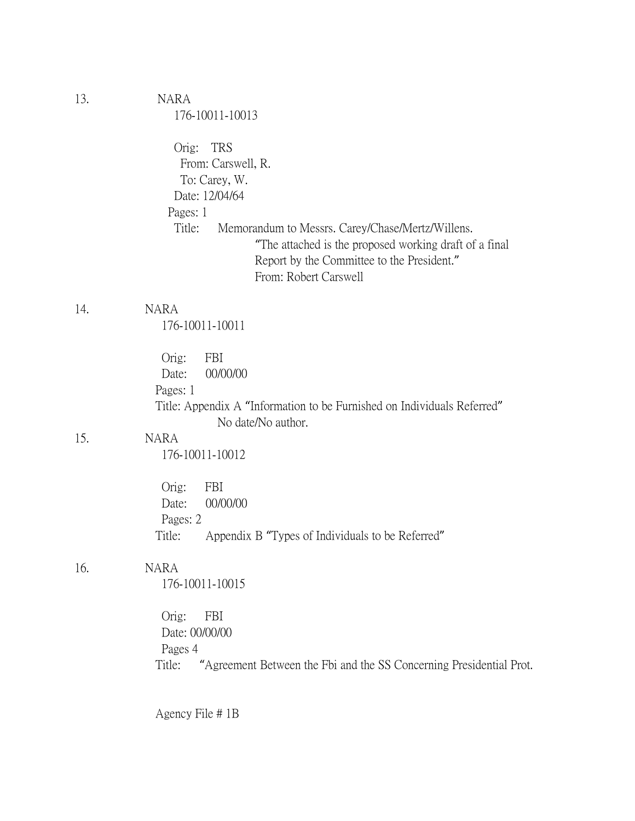| 13. | <b>NARA</b><br>176-10011-10013                                                                                                                                                              |
|-----|---------------------------------------------------------------------------------------------------------------------------------------------------------------------------------------------|
|     | Orig: TRS<br>From: Carswell, R.<br>To: Carey, W.<br>Date: 12/04/64<br>Pages: 1                                                                                                              |
|     | Title:<br>Memorandum to Messrs. Carey/Chase/Mertz/Willens.<br>"The attached is the proposed working draft of a final<br>Report by the Committee to the President."<br>From: Robert Carswell |
| 14. | <b>NARA</b><br>176-10011-10011                                                                                                                                                              |
|     | Orig:<br>FBI<br>00/00/00<br>Date:<br>Pages: 1<br>Title: Appendix A "Information to be Furnished on Individuals Referred"<br>No date/No author.                                              |
| 15. | <b>NARA</b><br>176-10011-10012                                                                                                                                                              |
|     | Orig:<br>FBI<br>00/00/00<br>Date:<br>Pages: 2<br>Title:<br>Appendix B "Types of Individuals to be Referred"                                                                                 |
| 16. | <b>NARA</b><br>176-10011-10015                                                                                                                                                              |
|     | Orig:<br>FBI<br>Date: 00/00/00<br>Pages 4<br>Title: "Agreement Between the Fbi and the SS Concerning Presidential Prot.                                                                     |

Agency File # 1B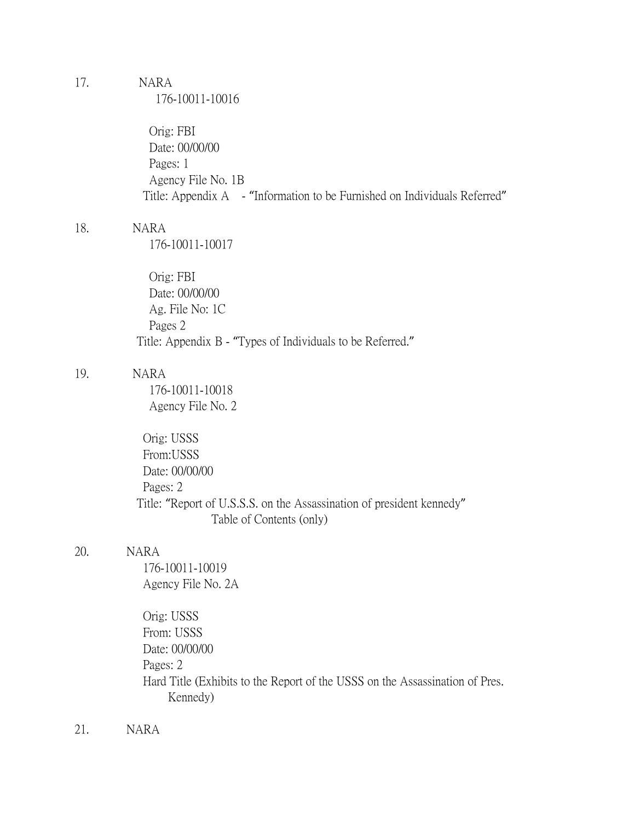## 17. NARA

176-10011-10016

 Orig: FBI Date: 00/00/00 Pages: 1 Agency File No. 1B Title: Appendix A - "Information to be Furnished on Individuals Referred"

### 18. NARA

176-10011-10017

 Orig: FBI Date: 00/00/00 Ag. File No: 1C Pages 2 Title: Appendix B - "Types of Individuals to be Referred."

## 19. NARA

 176-10011-10018 Agency File No. 2

 Orig: USSS From:USSS Date: 00/00/00 Pages: 2 Title: "Report of U.S.S.S. on the Assassination of president kennedy" Table of Contents (only)

### 20. NARA

 176-10011-10019 Agency File No. 2A

 Orig: USSS From: USSS Date: 00/00/00 Pages: 2 Hard Title (Exhibits to the Report of the USSS on the Assassination of Pres. Kennedy)

21. NARA